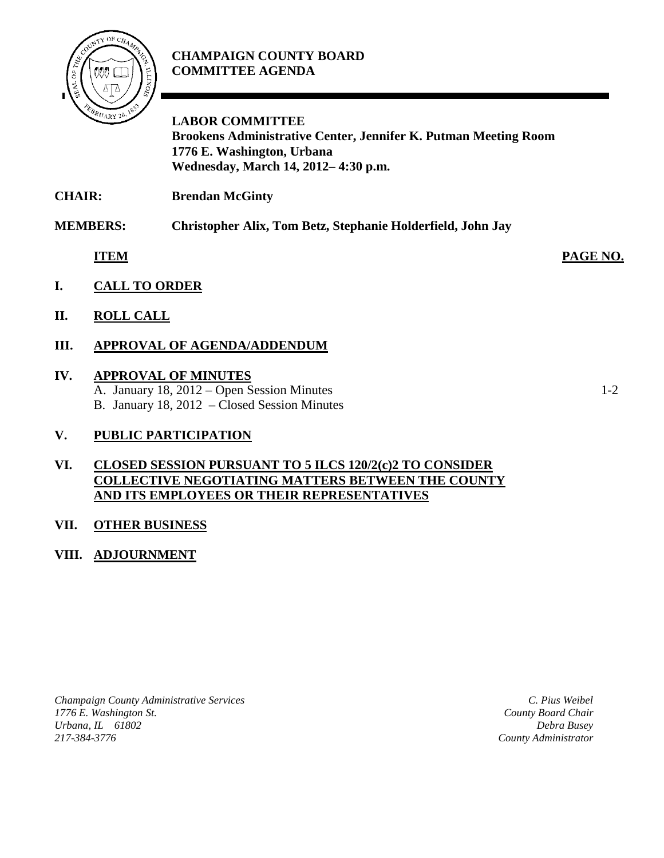

# **CHAMPAIGN COUNTY BOARD COMMITTEE AGENDA**

**LABOR COMMITTEE Brookens Administrative Center, Jennifer K. Putman Meeting Room 1776 E. Washington, Urbana Wednesday, March 14, 2012– 4:30 p.m.**

**CHAIR: Brendan McGinty**

**MEMBERS: Christopher Alix, Tom Betz, Stephanie Holderfield, John Jay**

**ITEM PAGE NO.**

- **I. CALL TO ORDER**
- **II. ROLL CALL**

# **III. APPROVAL OF AGENDA/ADDENDUM**

#### **IV. APPROVAL OF MINUTES**

A. January 18, 2012 – Open Session Minutes 1-2 B. January 18, 2012 – Closed Session Minutes

# **V. PUBLIC PARTICIPATION**

#### **VI. CLOSED SESSION PURSUANT TO 5 ILCS 120/2(c)2 TO CONSIDER COLLECTIVE NEGOTIATING MATTERS BETWEEN THE COUNTY AND ITS EMPLOYEES OR THEIR REPRESENTATIVES**

# **VII. OTHER BUSINESS**

# **VIII. ADJOURNMENT**

*Champaign County Administrative Services 1776 E. Washington St. Urbana, IL 61802 217-384-3776*

*C. Pius Weibel County Board Chair Debra Busey County Administrator*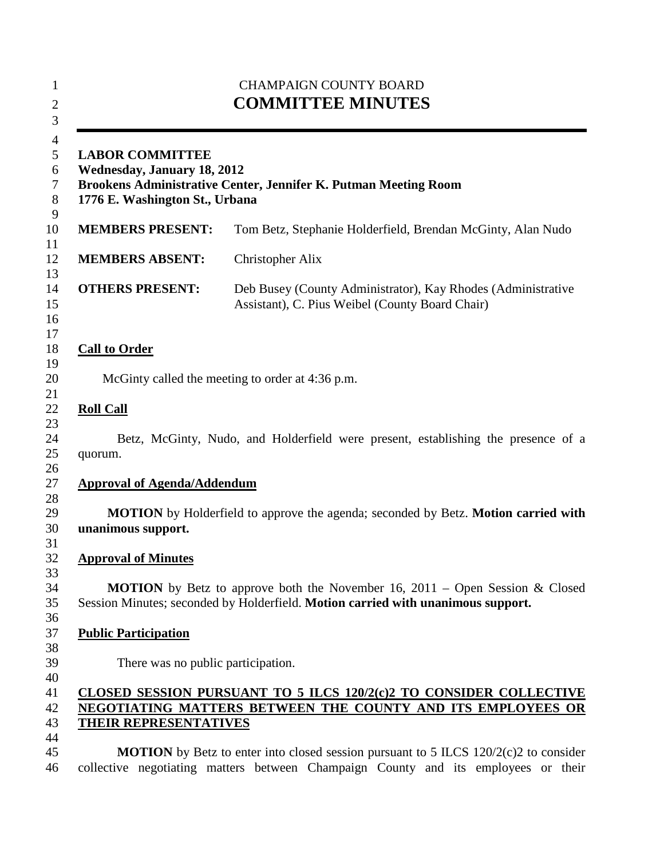|                                                                                                                                                                   | <b>CHAMPAIGN COUNTY BOARD</b><br><b>COMMITTEE MINUTES</b>                                                                                                                          |
|-------------------------------------------------------------------------------------------------------------------------------------------------------------------|------------------------------------------------------------------------------------------------------------------------------------------------------------------------------------|
| <b>LABOR COMMITTEE</b><br><b>Wednesday, January 18, 2012</b><br>Brookens Administrative Center, Jennifer K. Putman Meeting Room<br>1776 E. Washington St., Urbana |                                                                                                                                                                                    |
| <b>MEMBERS PRESENT:</b>                                                                                                                                           | Tom Betz, Stephanie Holderfield, Brendan McGinty, Alan Nudo                                                                                                                        |
| <b>MEMBERS ABSENT:</b>                                                                                                                                            | Christopher Alix                                                                                                                                                                   |
| <b>OTHERS PRESENT:</b>                                                                                                                                            | Deb Busey (County Administrator), Kay Rhodes (Administrative<br>Assistant), C. Pius Weibel (County Board Chair)                                                                    |
| <b>Call to Order</b>                                                                                                                                              |                                                                                                                                                                                    |
|                                                                                                                                                                   | McGinty called the meeting to order at 4:36 p.m.                                                                                                                                   |
| <b>Roll Call</b><br>quorum.                                                                                                                                       | Betz, McGinty, Nudo, and Holderfield were present, establishing the presence of a                                                                                                  |
| <b>Approval of Agenda/Addendum</b>                                                                                                                                |                                                                                                                                                                                    |
| unanimous support.                                                                                                                                                | <b>MOTION</b> by Holderfield to approve the agenda; seconded by Betz. <b>Motion carried with</b>                                                                                   |
| <b>Approval of Minutes</b>                                                                                                                                        |                                                                                                                                                                                    |
|                                                                                                                                                                   | <b>MOTION</b> by Betz to approve both the November 16, 2011 – Open Session & Closed<br>Session Minutes; seconded by Holderfield. Motion carried with unanimous support.            |
| <b>Public Participation</b>                                                                                                                                       |                                                                                                                                                                                    |
| There was no public participation.                                                                                                                                |                                                                                                                                                                                    |
| THEIR REPRESENTATIVES                                                                                                                                             | <b>CLOSED SESSION PURSUANT TO 5 ILCS 120/2(c)2 TO CONSIDER COLLECTIVE</b><br>NEGOTIATING MATTERS BETWEEN THE COUNTY AND ITS EMPLOYEES OR                                           |
|                                                                                                                                                                   | <b>MOTION</b> by Betz to enter into closed session pursuant to 5 ILCS $120/2(c)$ to consider<br>collective negotiating matters between Champaign County and its employees or their |